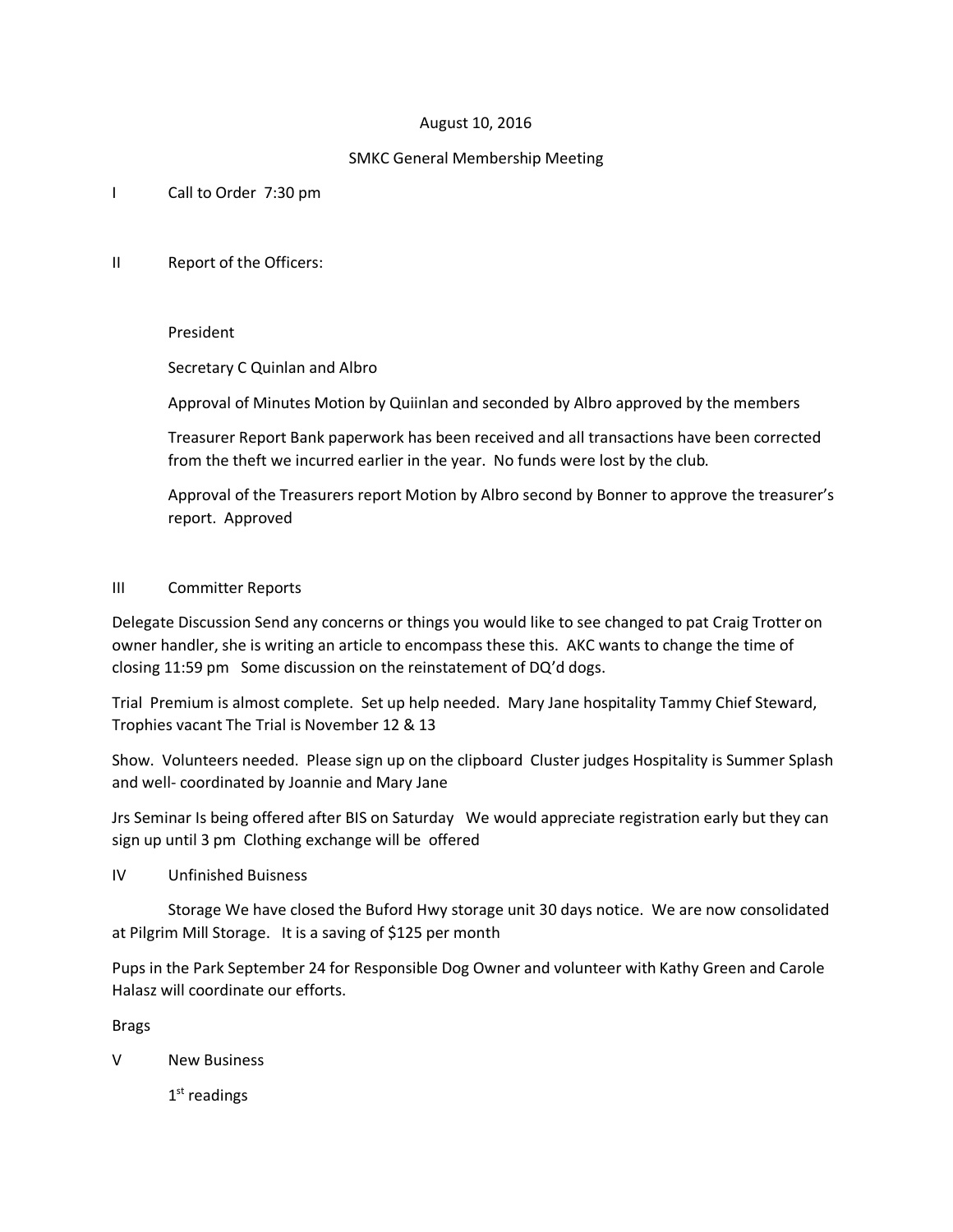# August 10, 2016

# SMKC General Membership Meeting

I Call to Order 7:30 pm

II Report of the Officers:

## President

Secretary C Quinlan and Albro

Approval of Minutes Motion by Quiinlan and seconded by Albro approved by the members

Treasurer Report Bank paperwork has been received and all transactions have been corrected from the theft we incurred earlier in the year. No funds were lost by the club.

Approval of the Treasurers report Motion by Albro second by Bonner to approve the treasurer's report. Approved

## III Committer Reports

Delegate Discussion Send any concerns or things you would like to see changed to pat Craig Trotter on owner handler, she is writing an article to encompass these this. AKC wants to change the time of closing 11:59 pm Some discussion on the reinstatement of DQ'd dogs.

Trial Premium is almost complete. Set up help needed. Mary Jane hospitality Tammy Chief Steward, Trophies vacant The Trial is November 12 & 13

Show. Volunteers needed. Please sign up on the clipboard Cluster judges Hospitality is Summer Splash and well- coordinated by Joannie and Mary Jane

Jrs Seminar Is being offered after BIS on Saturday We would appreciate registration early but they can sign up until 3 pm Clothing exchange will be offered

IV Unfinished Buisness

Storage We have closed the Buford Hwy storage unit 30 days notice. We are now consolidated at Pilgrim Mill Storage. It is a saving of \$125 per month

Pups in the Park September 24 for Responsible Dog Owner and volunteer with Kathy Green and Carole Halasz will coordinate our efforts.

Brags

V New Business

1st readings